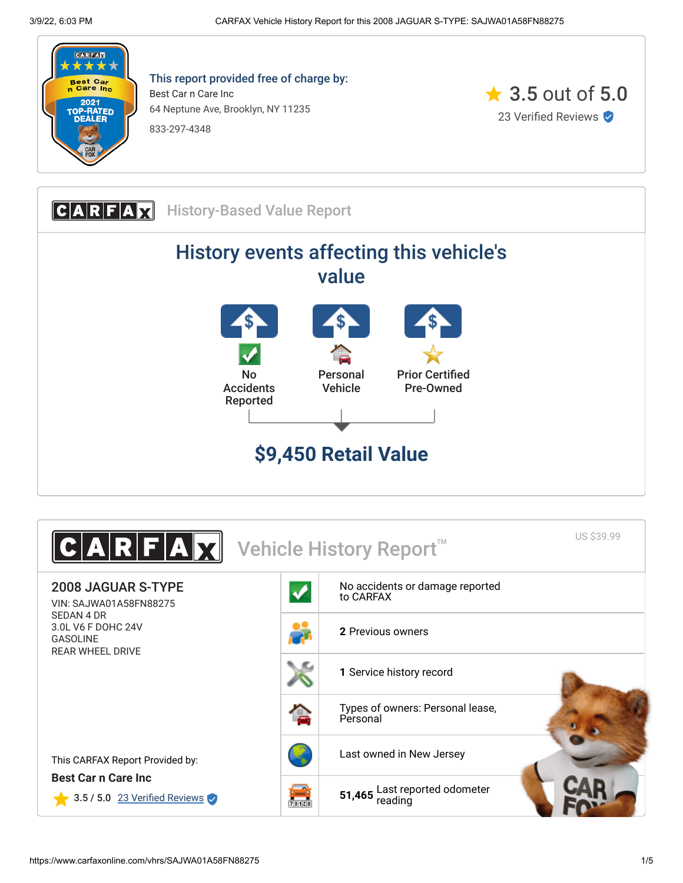

This report provided free of charge by: Best Car n Care Inc 64 Neptune Ave, Brooklyn, NY 11235 833-297-4348





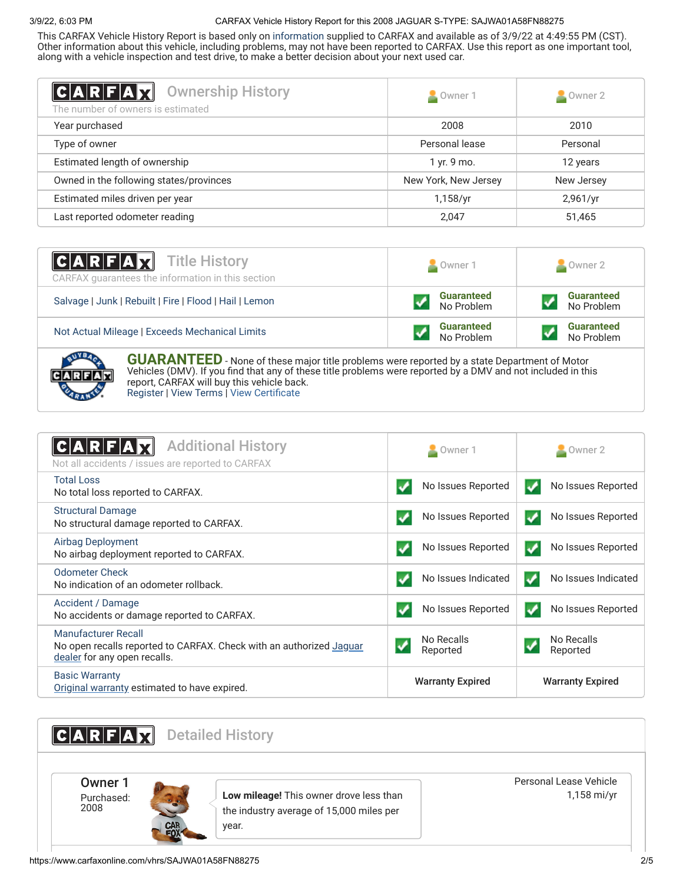## 3/9/22, 6:03 PM CARFAX Vehicle History Report for this 2008 JAGUAR S-TYPE: SAJWA01A58FN88275

This CARFAX Vehicle History Report is based only on [information](http://www.carfax.com/company/vhr-data-sources) supplied to CARFAX and available as of 3/9/22 at 4:49:55 PM (CST). Other information about this vehicle, including problems, may not have been reported to CARFAX. Use this report as one important tool, along with a vehicle inspection and test drive, to make a better decision about your next used car.

<span id="page-1-1"></span>

| C A R F A H<br><b>Ownership History</b><br>The number of owners is estimated | Owner 1              | $\triangle$ Owner 2 |
|------------------------------------------------------------------------------|----------------------|---------------------|
| Year purchased                                                               | 2008                 | 2010                |
| Type of owner                                                                | Personal lease       | Personal            |
| Estimated length of ownership                                                | 1 yr. 9 mo.          | 12 years            |
| Owned in the following states/provinces                                      | New York, New Jersey | New Jersey          |
| Estimated miles driven per year                                              | 1,158/yr             | 2,961/yr            |
| Last reported odometer reading                                               | 2,047                | 51,465              |

| <b>CARFAX</b> Title History<br>CARFAX guarantees the information in this section | Owner 1                         | Owner 2                         |
|----------------------------------------------------------------------------------|---------------------------------|---------------------------------|
| Salvage   Junk   Rebuilt   Fire   Flood   Hail   Lemon                           | <b>Guaranteed</b><br>No Problem | <b>Guaranteed</b><br>No Problem |
| Not Actual Mileage   Exceeds Mechanical Limits                                   | <b>Guaranteed</b><br>No Problem | <b>Guaranteed</b><br>No Problem |
|                                                                                  |                                 |                                 |



**GUARANTEED** - None of these major title problems were reported by a state Department of Motor Vehicles (DMV). If you find that any of these title problems were reported by a DMV and not included in this report, CARFAX will buy this vehicle back. [Register](https://www.carfax.com/Service/bbg) | [View Terms](http://www.carfaxonline.com/legal/bbgTerms) | [View Certificate](https://www.carfaxonline.com/vhrs/SAJWA01A58FN88275)

<span id="page-1-0"></span>

| <b>Additional History</b><br>$A$ $R$ $F$<br>Not all accidents / issues are reported to CARFAX                                     | Owner 1                                        | $\blacksquare$ Owner 2             |
|-----------------------------------------------------------------------------------------------------------------------------------|------------------------------------------------|------------------------------------|
| <b>Total Loss</b><br>No total loss reported to CARFAX.                                                                            | No Issues Reported                             | No Issues Reported<br>✔            |
| <b>Structural Damage</b><br>No structural damage reported to CARFAX.                                                              | No Issues Reported                             | No Issues Reported<br>$\checkmark$ |
| Airbag Deployment<br>No airbag deployment reported to CARFAX.                                                                     | No Issues Reported                             | No Issues Reported<br>$\cdot$      |
| <b>Odometer Check</b><br>No indication of an odometer rollback.                                                                   | No Issues Indicated                            | No Issues Indicated<br>✔           |
| Accident / Damage<br>No accidents or damage reported to CARFAX.                                                                   | No Issues Reported                             | No Issues Reported<br>✓            |
| <b>Manufacturer Recall</b><br>No open recalls reported to CARFAX. Check with an authorized Jaguar<br>dealer for any open recalls. | No Recalls<br>$\blacktriangledown$<br>Reported | No Recalls<br>✔<br>Reported        |
| <b>Basic Warranty</b><br>Original warranty estimated to have expired.                                                             | <b>Warranty Expired</b>                        | <b>Warranty Expired</b>            |

<span id="page-1-2"></span>**CARFAX** Detailed History Owner 1 Purchased: 2008 **Low mileage!** This owner drove less than the industry average of 15,000 miles per year. Personal Lease Vehicle 1,158 mi/yr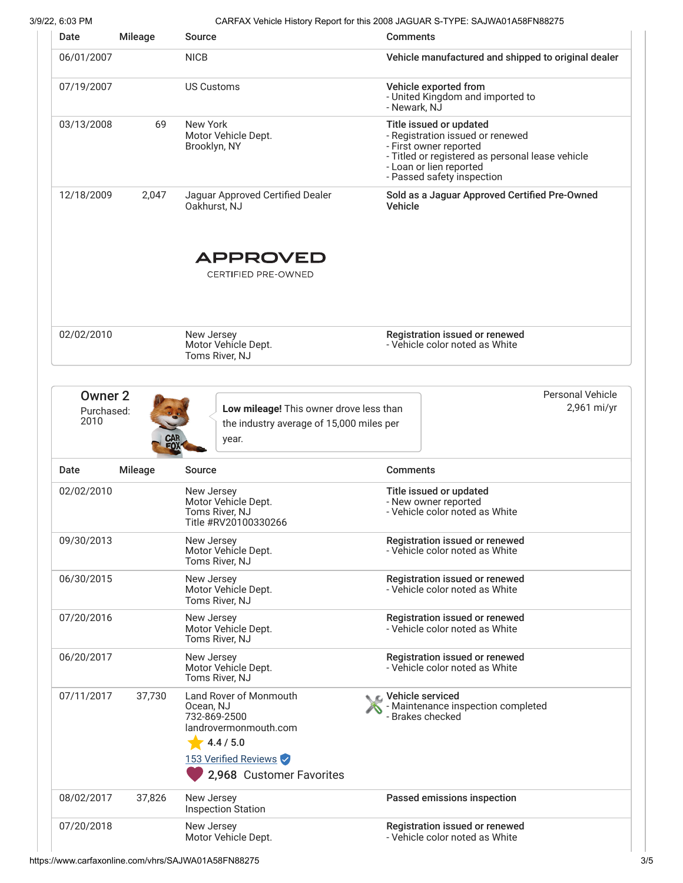# 3/9/22, 6:03 PM CARFAX Vehicle History Report for this 2008 JAGUAR S-TYPE: SAJWA01A58FN88275

|                                                                                          |                | Source                                                                              | <b>Comments</b>                                                                                                                                                                                    |  |
|------------------------------------------------------------------------------------------|----------------|-------------------------------------------------------------------------------------|----------------------------------------------------------------------------------------------------------------------------------------------------------------------------------------------------|--|
| 06/01/2007                                                                               |                | <b>NICB</b>                                                                         | Vehicle manufactured and shipped to original dealer                                                                                                                                                |  |
| 07/19/2007                                                                               |                | <b>US Customs</b>                                                                   | Vehicle exported from<br>- United Kingdom and imported to<br>- Newark, NJ                                                                                                                          |  |
| 03/13/2008                                                                               | 69             | New York<br>Motor Vehicle Dept.<br>Brooklyn, NY                                     | Title issued or updated<br>- Registration issued or renewed<br>- First owner reported<br>- Titled or registered as personal lease vehicle<br>- Loan or lien reported<br>- Passed safety inspection |  |
| 12/18/2009                                                                               | 2,047          | Jaguar Approved Certified Dealer<br>Oakhurst, NJ                                    | Sold as a Jaguar Approved Certified Pre-Owned<br>Vehicle                                                                                                                                           |  |
|                                                                                          |                | <b>APPROVED</b>                                                                     |                                                                                                                                                                                                    |  |
|                                                                                          |                | <b>CERTIFIED PRE-OWNED</b>                                                          |                                                                                                                                                                                                    |  |
| 02/02/2010                                                                               |                | New Jersey<br>Motor Vehicle Dept.<br>Toms River, NJ                                 | Registration issued or renewed<br>- Vehicle color noted as White                                                                                                                                   |  |
| Owner <sub>2</sub><br>Purchased:<br>2010                                                 |                | Low mileage! This owner drove less than<br>the industry average of 15,000 miles per | <b>Personal Vehicle</b><br>2,961 mi/yr                                                                                                                                                             |  |
|                                                                                          | <b>CAR</b>     | year.                                                                               |                                                                                                                                                                                                    |  |
|                                                                                          | <b>Mileage</b> | Source                                                                              | <b>Comments</b>                                                                                                                                                                                    |  |
|                                                                                          |                | New Jersey<br>Motor Vehicle Dept.<br>Toms River, NJ<br>Title #RV20100330266         | Title issued or updated<br>- New owner reported<br>- Vehicle color noted as White                                                                                                                  |  |
|                                                                                          |                | New Jersey<br>Motor Vehicle Dept.<br>Toms River, NJ                                 | Registration issued or renewed<br>- Vehicle color noted as White                                                                                                                                   |  |
|                                                                                          |                | New Jersey<br>Motor Vehicle Dept.<br>Toms River, NJ                                 | Registration issued or renewed<br>- Vehicle color noted as White                                                                                                                                   |  |
|                                                                                          |                | New Jersey<br>Motor Vehicle Dept.<br>Toms River, NJ                                 | Registration issued or renewed<br>- Vehicle color noted as White                                                                                                                                   |  |
|                                                                                          |                | New Jersey<br>Motor Vehicle Dept.<br>Toms River, NJ                                 | Registration issued or renewed<br>- Vehicle color noted as White                                                                                                                                   |  |
| Date<br>02/02/2010<br>09/30/2013<br>06/30/2015<br>07/20/2016<br>06/20/2017<br>07/11/2017 | 37,730         | Land Rover of Monmouth<br>Ocean, NJ<br>732-869-2500<br>landrovermonmouth.com        | C Vehicle serviced<br>- Maintenance inspection completed<br>- Brakes checked                                                                                                                       |  |
|                                                                                          |                | 4.4 / 5.0<br>153 Verified Reviews<br>2,968 Customer Favorites                       |                                                                                                                                                                                                    |  |
| 08/02/2017                                                                               | 37,826         | New Jersey<br><b>Inspection Station</b>                                             | Passed emissions inspection                                                                                                                                                                        |  |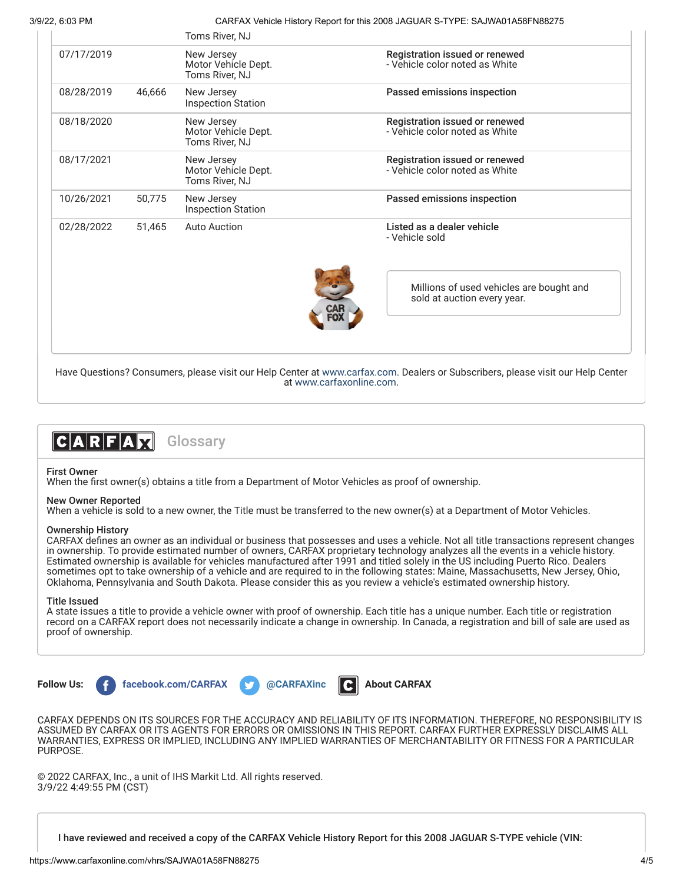3/9/22, 6:03 PM CARFAX Vehicle History Report for this 2008 JAGUAR S-TYPE: SAJWA01A58FN88275

|            |        | Toms River, NJ                                      |                                                                         |
|------------|--------|-----------------------------------------------------|-------------------------------------------------------------------------|
| 07/17/2019 |        | New Jersey<br>Motor Vehícle Dept.<br>Toms River, NJ | Registration issued or renewed<br>- Vehicle color noted as White        |
| 08/28/2019 | 46,666 | New Jersey<br><b>Inspection Station</b>             | Passed emissions inspection                                             |
| 08/18/2020 |        | New Jersey<br>Motor Vehicle Dept.<br>Toms River, NJ | Registration issued or renewed<br>- Vehicle color noted as White        |
| 08/17/2021 |        | New Jersey<br>Motor Vehicle Dept.<br>Toms River, NJ | Registration issued or renewed<br>- Vehicle color noted as White        |
| 10/26/2021 | 50,775 | New Jersey<br><b>Inspection Station</b>             | Passed emissions inspection                                             |
| 02/28/2022 | 51.465 | <b>Auto Auction</b>                                 | Listed as a dealer vehicle<br>- Vehicle sold                            |
|            |        |                                                     | Millions of used vehicles are bought and<br>sold at auction every year. |
|            |        |                                                     |                                                                         |

Have Questions? Consumers, please visit our Help Center at [www.carfax.com](http://www.carfax.com/help). Dealers or Subscribers, please visit our Help Center at [www.carfaxonline.com.](http://www.carfaxonline.com/)



First Owner

When the first owner(s) obtains a title from a Department of Motor Vehicles as proof of ownership.

#### New Owner Reported

When a vehicle is sold to a new owner, the Title must be transferred to the new owner(s) at a Department of Motor Vehicles.

#### Ownership History

CARFAX defines an owner as an individual or business that possesses and uses a vehicle. Not all title transactions represent changes in ownership. To provide estimated number of owners, CARFAX proprietary technology analyzes all the events in a vehicle history. Estimated ownership is available for vehicles manufactured after 1991 and titled solely in the US including Puerto Rico. Dealers sometimes opt to take ownership of a vehicle and are required to in the following states: Maine, Massachusetts, New Jersey, Ohio, Oklahoma, Pennsylvania and South Dakota. Please consider this as you review a vehicle's estimated ownership history.

### Title Issued

A state issues a title to provide a vehicle owner with proof of ownership. Each title has a unique number. Each title or registration record on a CARFAX report does not necessarily indicate a change in ownership. In Canada, a registration and bill of sale are used as proof of ownership.



CARFAX DEPENDS ON ITS SOURCES FOR THE ACCURACY AND RELIABILITY OF ITS INFORMATION. THEREFORE, NO RESPONSIBILITY IS ASSUMED BY CARFAX OR ITS AGENTS FOR ERRORS OR OMISSIONS IN THIS REPORT. CARFAX FURTHER EXPRESSLY DISCLAIMS ALL WARRANTIES, EXPRESS OR IMPLIED, INCLUDING ANY IMPLIED WARRANTIES OF MERCHANTABILITY OR FITNESS FOR A PARTICULAR PURPOSE.

© 2022 CARFAX, Inc., a unit of IHS Markit Ltd. All rights reserved. 3/9/22 4:49:55 PM (CST)

I have reviewed and received a copy of the CARFAX Vehicle History Report for this 2008 JAGUAR S-TYPE vehicle (VIN: